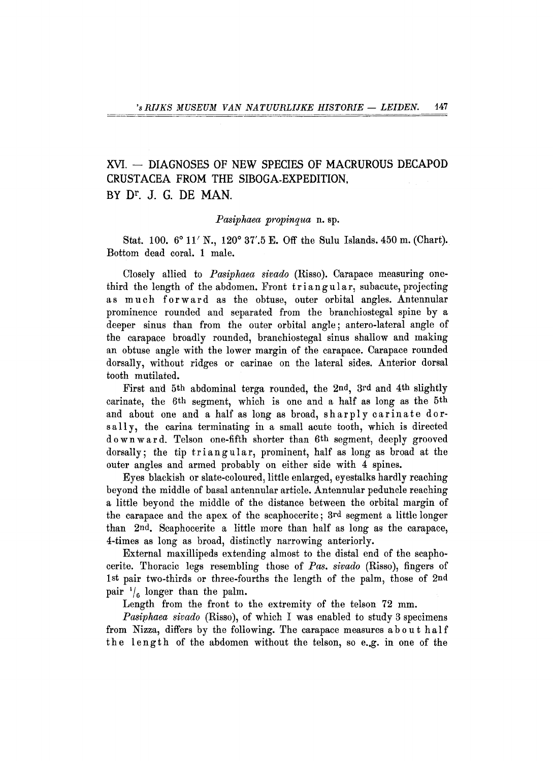# XVI. - DIAGNOSES OF NEW SPECIES OF MACRUROUS DECAPOD CRUSTACEA FROM THE SIBOGA-EXPEDITION, BY D<sup>r</sup>. J. G. DE MAN.

# *Pasiphaea propinqua* n. sp.

Stat. **100. 6° 11'** N. , **120° 37'.5** E. Off the Sulu Islands. **450** m. (Chart). Bottom dead coral. **1** male.

Closely allied to *Pasiphaea sivado* (Risso). Carapace measuring onethird the length of the abdomen. Front triangular, subacute, projecting as much forward as the obtuse, outer orbital angles. Antennular prominence rounded and separated from the branchiostegal spine by a deeper sinus than from the outer orbital angle; antero-lateral angle of the carapace broadly rounded, branchiostegal sinus shallow and making an obtuse angle with the lower margin of the carapace. Carapace rounded dorsally, without ridges or carinae on the lateral sides. Anterior dorsal tooth mutilated.

First and **5th** abdominal terga rounded, the **2nd, 3rd** and **4th** slightly carinate, the **6th** segment, which is one and a half as long as the **5th**  and about one and a half as long as broad, sharply carinate dorsally, the carina terminating in a small acute tooth, which is directed downward . Telson one-fifth shorter than **6th** segment, deeply grooved dorsally; the tip triangular, prominent, half as long as broad at the outer angles and armed probably on either side with **4** spines.

Eyes blackish or slate-coloured, little enlarged, eyestalks hardly reaching beyond the middle of basal antennular article. Antennular peduncle reaching a little beyond the middle of the distance between the orbital margin of the carapace and the apex of the scaphocerite; **3rd** segment a little longer than **2nd.** Scaphocerite a little more than half as long as the carapace, **4**-times as long as broad, distinctly narrowing anteriorly.

External maxillipeds extending almost to the distal end of the scaphocerite. Thoracic legs resembling those of *Pas. sivado* (Risso), fingers of **1st** pair two-thirds or three-fourths the length of the palm, those of **2nd**  pair  $\frac{1}{6}$  longer than the palm.

Length from the front to the extremity of the telson **72** mm.

*Pasiphaea sivado* (Risso), of which **I** was enabled to study **3** specimens from Nizza, differs by the following. The carapace measures abou t hal f the length of the abdomen without the telson, so e.g. in one of the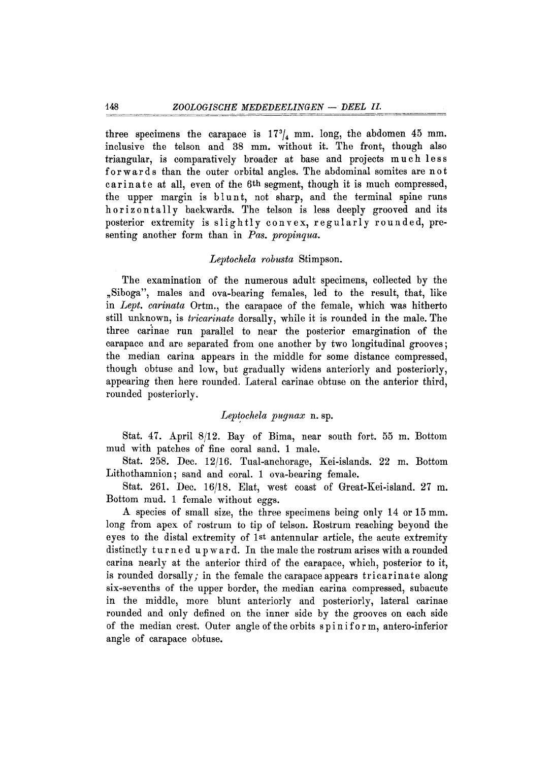three specimens the carapace is  $17\frac{9}{4}$  mm. long, the abdomen 45 mm. inclusive the telson and 38 mm. without it. The front, though also triangular, is comparatively broader at base and projects much less forwards than the outer orbital angles. The abdominal somites are not carinate at all, even of the 6<sup>th</sup> segment, though it is much compressed, the upper margin is blunt, not sharp, and the terminal spine runs horizontally backwards. The telson is less deeply grooved and its posterior extremity is slightly convex, regularly rounded, presenting another form than in Pas. propinqua.

## *Leptochela robusta* Stimpson.

The examination of the numerous adult specimens, collected by the "Siboga", males and ova-bearing females, led to the result, that, like in Lept. carinata Ortm., the carapace of the female, which was hitherto still unknown, is *tricarinate* dorsally, while it is rounded in the male. The three carinae run parallel to near the posterior emargination of the carapace and are separated from one another by two longitudinal grooves; the median carina appears in the middle for some distance compressed, though obtuse and low, but gradually widens anteriorly and posteriorly, appearing then here rounded. Lateral carinae obtuse on the anterior third, rounded posteriorly.

## *Leptochela pugnax* n. sp.

Stat. 47. April 8/12. Bay of Bima, near south fort. 55 m. Bottom mud with patches of fine coral sand. 1 male.

Stat. 258. Dec . 12/16. Tual-anchorage, Kei-islands . 22 m. Bottom Lithothamnion ; sand and coral. 1 ova-bearing female.

Stat. 261. Dec. 16/18. Elat, west coast of Great-Kei-island. 27 m. Bottom mud. 1 female without eggs.

A species of small size, the three specimens being only 14 or 15 mm . long from apex of rostrum to tip of telson. Rostrum reaching beyond the eyes to the distal extremity of 1st antennular article, the acute extremity distinctly turned upward. In the male the rostrum arises with a rounded carina nearly at the anterior third of the carapace, which, posterior to it, is rounded dorsally; in the female the carapace appears tricarinate along six-sevenths of the upper border, the median carina compressed, subacute in the middle, more blunt anteriorly and posteriorly, lateral carinae rounded and only defined on the inner side by the grooves on each side of the median crest. Outer angle of the orbits spiniform , antero-inferior angle of carapace obtuse.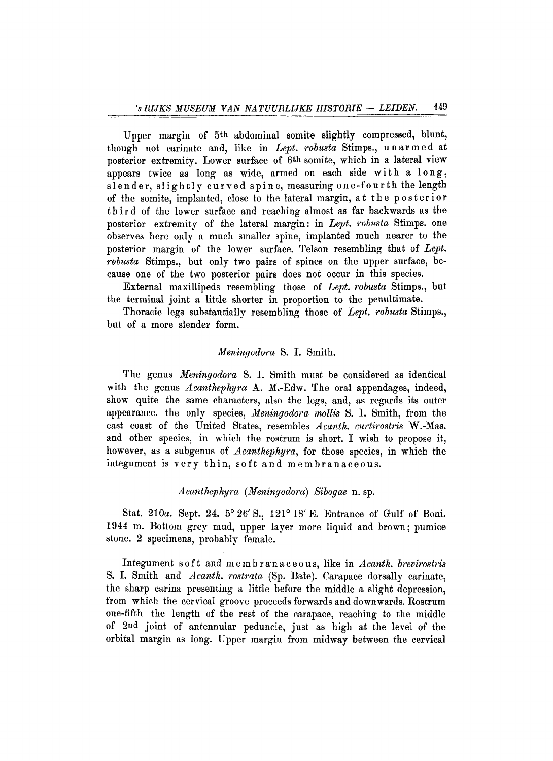Upper margin of 5th abdominal somite slightly compressed, blunt, though not carinate and, like in Lept. robusta Stimps., unarmed at posterior extremity. Lower surface of 6th somite, which in a lateral view appears twice as long as wide, armed on each side with a long, slender, slightly curved spine, measuring one-fourth the length of the somite, implanted, close to the lateral margin, at the posterior thir d of the lower surface and reaching almost as far backwards as the posterior extremity of the lateral margin: in Lept. robusta Stimps. one observes here only a much smaller spine, implanted much nearer to the posterior margin of the lower surface. Telson resembling that of *Lept. robusta* Stimps., but only two pairs of spines on the upper surface, because one of the two posterior pairs does not occur in this species.

External maxillipeds resembling those of *Lept. robusta* Stimps., but the terminal joint a little shorter in proportion to the penultimate.

Thoracic legs substantially resembling those of *Lept. robusta* Stimps., but of a more slender form.

#### *Meningodora* S. I. Smith.

T he genus *Meningodora* S. I . Smith must be considered as identical with the genus *Acanthephyra* A. M.-Edw. The oral appendages, indeed, show quite the same characters, also the legs, and, as regards its outer appearance, the only species, *Meningodora mollis* S. I. Smith, from the east coast of the United States, resembles Acanth. curtirostris W.-Mas. and other species, in which the rostrum is short. I wish to propose it, however, as a subgenus of *Acanthephyra*, for those species, in which the integument is very thin, soft and membranaceous.

# *Acanthephyra (Meningodora) Sibogae* n. sp.

Stat. 210a. Sept. 24. 5° 26' S., 121° 18' E. Entrance of Gulf of Boni. 1944 m. Bottom grey mud, upper layer more liquid and brown; pumice stone. 2 specimens, probably female.

Integument soft and membranaceous, like in *Acanth. brevirostris* S. I. Smith and *Acanth. rostrata* (Sp. Bate). Carapace dorsally carinate, the sharp carina presenting a little before the middle a slight depression, from which the cervical groove proceeds forwards and downwards. Rostrum one-fifth the length of the rest of the carapace, reaching to the middle of 2nd joint of antennular peduncle, just as high at the level of the orbital margin as long. Upper margin from midway between the cervical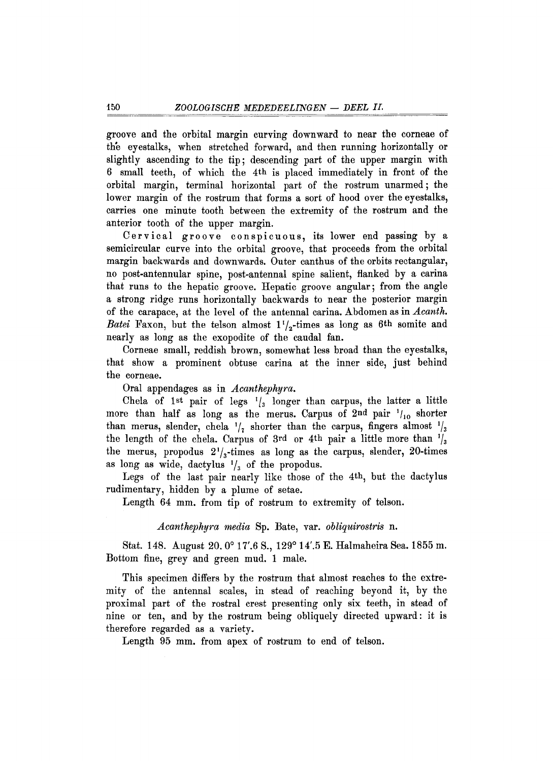groove and the orbital margin curving downward to near the corneae of the eyestalks, when stretched forward, and then running horizontally or slightly ascending to the tip; descending part of the upper margin with 6 small teeth, of which the 4<sup>th</sup> is placed immediately in front of the orbital margin, terminal horizontal part of the rostrum unarmed ; the lower margin of the rostrum that forms a sort of hood over the eyestalks, carries one minute tooth between the extremity of the rostrum and the anterior tooth of the upper margin.

Cervical groove conspicuous, its lower end passing by a semicircular curve into the orbital groove, that proceeds from the orbital margin backwards and downwards. Outer canthus of the orbits rectangular, no post-antennular spine, post-antennal spine salient, flanked by a carina that runs to the hepatic groove. Hepatic groove angular; from the angle a strong ridge runs horizontally backwards to near the posterior margin of the carapace, at the level of the antennal carina. Abdomen as in *Acanth*. *Batei* Faxon, but the telson almost  $1\frac{1}{2}$ -times as long as 6<sup>th</sup> somite and nearly as long as the exopodite of the caudal fan.

Corneae small, reddish brown, somewhat less broad than the eyestalks, that show a prominent obtuse carina at the inner side, just behind the corneae.

Oral appendages as in *Acanthephyra*.

Chela of 1st pair of legs  $\frac{1}{3}$  longer than carpus, the latter a little more than half as long as the merus. Carpus of  $2^{nd}$  pair  $\frac{1}{10}$  shorter than merus, slender, chela  $\frac{1}{2}$  shorter than the carpus, fingers almost  $\frac{1}{2}$ the length of the chela. Carpus of 3rd or 4<sup>th</sup> pair a little more than  $\frac{1}{3}$ the merus, propodus  $2^{\prime}/\sqrt{ }$ -times as long as the carpus, slender, 20-times as long as wide, dactylus  $\frac{1}{3}$  of the propodus.

Legs of the last pair nearly like those of the 4th, but the dactylus rudimentary, hidden by a plume of setae.

Length 64 mm, from tip of rostrum to extremity of telson.

# *Acanthephyra media* Sp. Bate, var. *obliquirostris* n.

Stat. 148. August 20.0° 17'.6 S., 129° 14'.5 E. Halmaheira Sea. 1855 m. Bottom fine, grey and green mud. 1 male.

This specimen differs by the rostrum that almost reaches to the extremity of the antennal scales, in stead of reaching beyond it, by the proximal part of the rostral crest presenting only six teeth, in stead of nine or ten, and by the rostrum being obliquely directed upward: it is therefore regarded as a variety.

Length 95 mm. from apex of rostrum to end of telson.